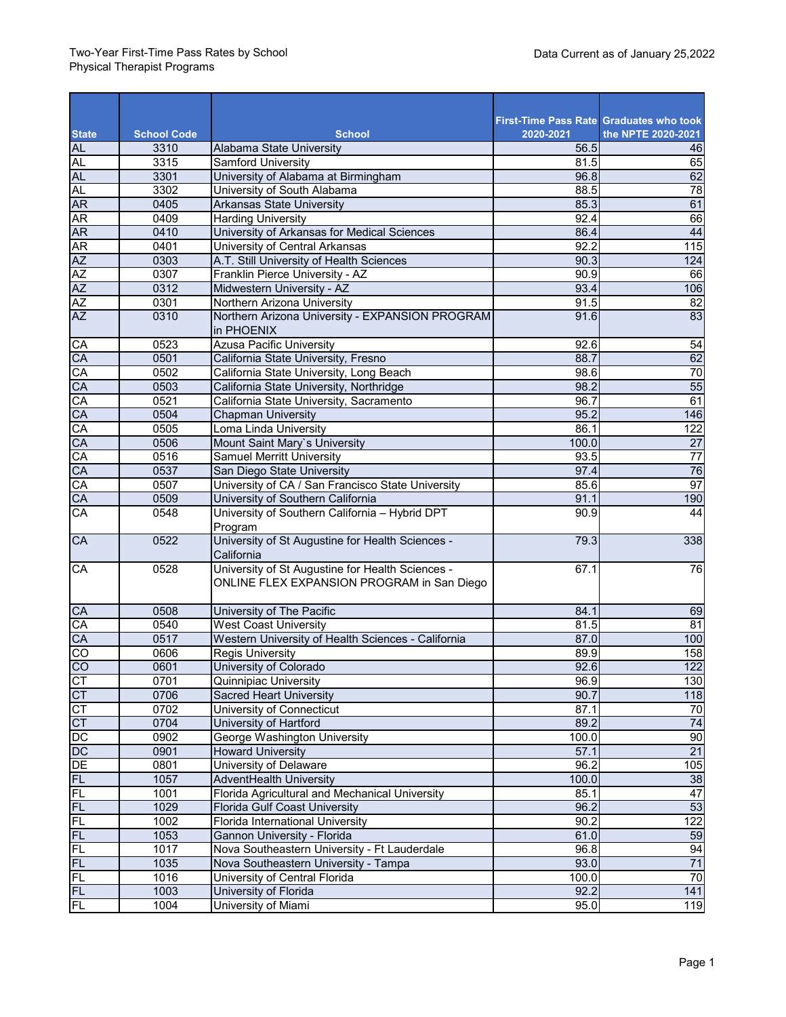|                           | <b>School Code</b> | <b>School</b>                                                                                  | 2020-2021         | <b>First-Time Pass Rate Graduates who took</b><br>the NPTE 2020-2021 |
|---------------------------|--------------------|------------------------------------------------------------------------------------------------|-------------------|----------------------------------------------------------------------|
| <b>State</b><br><b>AL</b> | 3310               | Alabama State University                                                                       | 56.5              | 46                                                                   |
| AL                        | 3315               | Samford University                                                                             | 81.5              | 65                                                                   |
| <b>AL</b>                 | 3301               | University of Alabama at Birmingham                                                            | 96.8              | 62                                                                   |
| <b>AL</b>                 | 3302               | University of South Alabama                                                                    | 88.5              | 78                                                                   |
| <b>AR</b>                 | 0405               | <b>Arkansas State University</b>                                                               | 85.3              | 61                                                                   |
| <b>AR</b>                 | 0409               | <b>Harding University</b>                                                                      | 92.4              | 66                                                                   |
| <b>AR</b>                 | 0410               | University of Arkansas for Medical Sciences                                                    | 86.4              | 44                                                                   |
| <b>AR</b>                 | 0401               | University of Central Arkansas                                                                 | 92.2              | 115                                                                  |
| AZ                        | 0303               | A.T. Still University of Health Sciences                                                       | 90.3              | 124                                                                  |
| AZ<br>AZ                  | 0307               | Franklin Pierce University - AZ                                                                | 90.9              | 66                                                                   |
|                           | 0312               | Midwestern University - AZ                                                                     | 93.4              | 106                                                                  |
| AZ                        | 0301               | Northern Arizona University                                                                    | 91.5              | 82                                                                   |
| <b>AZ</b>                 | 0310               | Northern Arizona University - EXPANSION PROGRAM<br>in PHOENIX                                  | 91.6              | 83                                                                   |
| <b>CA</b>                 | 0523               | <b>Azusa Pacific University</b>                                                                | 92.6              | 54                                                                   |
| CA                        | 0501               | California State University, Fresno                                                            | 88.7              | 62                                                                   |
| CA                        | 0502               | California State University, Long Beach                                                        | 98.6              | 70                                                                   |
| CA                        | 0503               | California State University, Northridge                                                        | 98.2              | 55                                                                   |
| CA                        | 0521               | California State University, Sacramento                                                        | 96.7              | 61                                                                   |
| CA                        | 0504               | <b>Chapman University</b>                                                                      | 95.2              | 146                                                                  |
| CA                        | 0505               | Loma Linda University                                                                          | 86.1              | 122                                                                  |
| CA                        | 0506               | Mount Saint Mary's University                                                                  | 100.0             | $\overline{27}$                                                      |
| CA                        | 0516               | Samuel Merritt University                                                                      | 93.5              | $\overline{77}$                                                      |
| CA                        | 0537               | San Diego State University                                                                     | 97.4              | 76                                                                   |
| CA                        | 0507               | University of CA / San Francisco State University                                              | 85.6              | 97                                                                   |
| CA                        | 0509               | University of Southern California                                                              | 91.1              | 190                                                                  |
| CA                        | 0548               | University of Southern California - Hybrid DPT<br>Program                                      | 90.9              | 44                                                                   |
| CA                        | 0522               | University of St Augustine for Health Sciences -<br>California                                 | 79.3              | 338                                                                  |
| CA                        | 0528               | University of St Augustine for Health Sciences -<br>ONLINE FLEX EXPANSION PROGRAM in San Diego | 67.1              | 76                                                                   |
| CA                        | 0508               | University of The Pacific                                                                      | 84.1              | 69                                                                   |
| CA                        | 0540               | <b>West Coast University</b>                                                                   | $\overline{81.5}$ | 81                                                                   |
| CA                        | 0517               | Western University of Health Sciences - California                                             | 87.0              | 100                                                                  |
| $\overline{c}$            | 0606               | <b>Regis University</b>                                                                        | 89.9              | 158                                                                  |
| <b>CO</b>                 | 0601               | University of Colorado                                                                         | 92.6              | 122                                                                  |
| CT                        | 0701               | Quinnipiac University                                                                          | 96.9              | 130                                                                  |
| CT                        | 0706               | <b>Sacred Heart University</b>                                                                 | 90.7              | 118                                                                  |
| <b>CT</b>                 | 0702               | University of Connecticut                                                                      | 87.1              | 70                                                                   |
| $C$ T                     | 0704               | University of Hartford                                                                         | 89.2              | 74                                                                   |
| DС                        | 0902               | George Washington University                                                                   | 100.0             | 90                                                                   |
| $\frac{DC}{DE}$           | 0901               | <b>Howard University</b>                                                                       | 57.1              | $\overline{21}$                                                      |
|                           | 0801               | University of Delaware                                                                         | 96.2              | 105                                                                  |
| <b>FL</b>                 | 1057               | AdventHealth University                                                                        | 100.0             | 38                                                                   |
| FL                        | 1001               | Florida Agricultural and Mechanical University                                                 | 85.1              | 47                                                                   |
| FL                        | 1029               | <b>Florida Gulf Coast University</b>                                                           | 96.2              | 53                                                                   |
| FL                        | 1002               | Florida International University                                                               | 90.2              | 122                                                                  |
| FL                        | 1053               | Gannon University - Florida                                                                    | 61.0              | 59                                                                   |
| FL                        | 1017               | Nova Southeastern University - Ft Lauderdale                                                   | 96.8              | 94                                                                   |
| <b>FL</b>                 | 1035               | Nova Southeastern University - Tampa                                                           | 93.0              | 71                                                                   |
| FL                        | 1016               | University of Central Florida                                                                  | 100.0             | 70                                                                   |
| FL                        | 1003               | University of Florida                                                                          | 92.2              | 141                                                                  |
| FL                        | 1004               | University of Miami                                                                            | 95.0              | 119                                                                  |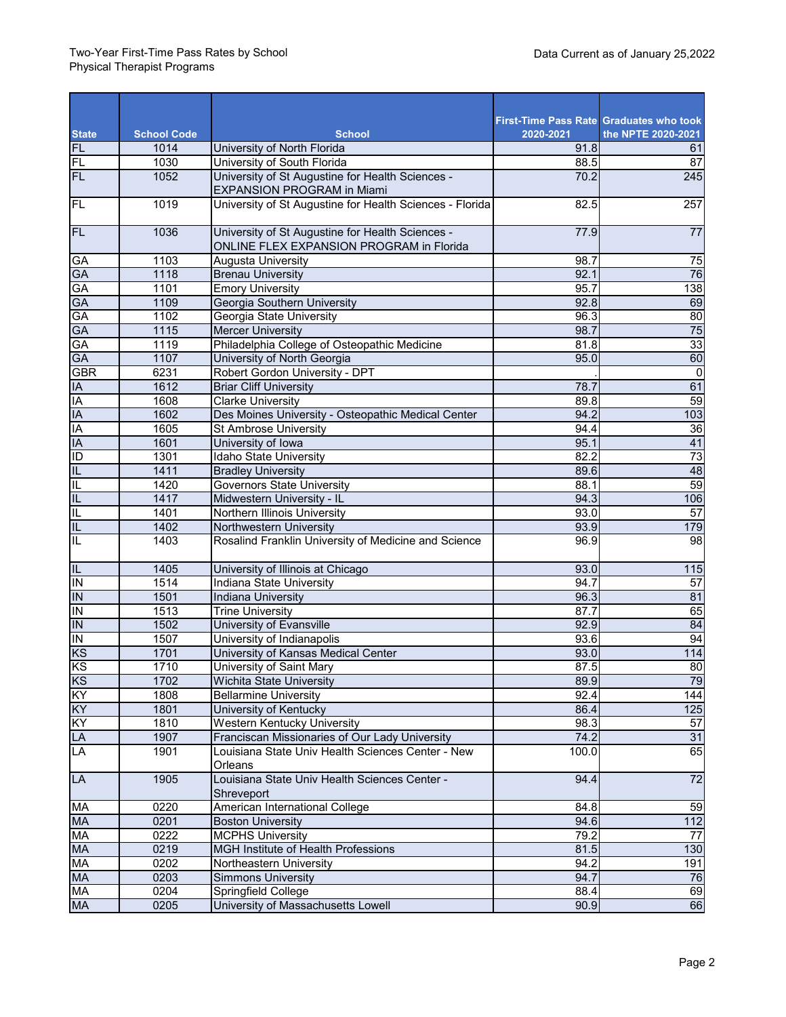|                          |                    |                                                                                              |           | <b>First-Time Pass Rate Graduates who took</b> |
|--------------------------|--------------------|----------------------------------------------------------------------------------------------|-----------|------------------------------------------------|
| <b>State</b>             | <b>School Code</b> | <b>School</b>                                                                                | 2020-2021 | the NPTE 2020-2021                             |
| <b>FL</b>                | 1014               | University of North Florida                                                                  | 91.8      | 61                                             |
| FL                       | 1030               | University of South Florida                                                                  | 88.5      | 87                                             |
| <b>FL</b>                | 1052               | University of St Augustine for Health Sciences -<br><b>EXPANSION PROGRAM in Miami</b>        | 70.2      | 245                                            |
| E                        | 1019               | University of St Augustine for Health Sciences - Florida                                     | 82.5      | 257                                            |
| <b>FL</b>                | 1036               | University of St Augustine for Health Sciences -<br>ONLINE FLEX EXPANSION PROGRAM in Florida | 77.9      | $\overline{77}$                                |
| GA                       | 1103               | Augusta University                                                                           | 98.7      | 75                                             |
| GA                       | 1118               | <b>Brenau University</b>                                                                     | 92.1      | 76                                             |
| GA                       | 1101               | <b>Emory University</b>                                                                      | 95.7      | 138                                            |
| GA                       | 1109               | Georgia Southern University                                                                  | 92.8      | 69                                             |
| <b>GA</b>                | 1102               | Georgia State University                                                                     | 96.3      | 80                                             |
| <b>GA</b>                | 1115               | <b>Mercer University</b>                                                                     | 98.7      | 75                                             |
| GA                       | 1119               | Philadelphia College of Osteopathic Medicine                                                 | 81.8      | $\overline{33}$                                |
| <b>GA</b>                | 1107               | University of North Georgia                                                                  | 95.0      | 60                                             |
| <b>GBR</b>               | 6231               | Robert Gordon University - DPT                                                               |           | $\mathbf 0$                                    |
| $\overline{A}$           | 1612               | <b>Briar Cliff University</b>                                                                | 78.7      | 61                                             |
| IA                       | 1608               | <b>Clarke University</b>                                                                     | 89.8      | 59                                             |
| $\overline{A}$           | 1602               | Des Moines University - Osteopathic Medical Center                                           | 94.2      | 103                                            |
| IA                       | 1605               | <b>St Ambrose University</b>                                                                 | 94.4      | 36                                             |
| IA                       | 1601               | University of Iowa                                                                           | 95.1      | 41                                             |
| ID                       | 1301               | Idaho State University                                                                       | 82.2      | 73                                             |
| $\overline{\mathsf{IL}}$ | 1411               | <b>Bradley University</b>                                                                    | 89.6      | 48                                             |
| π                        | 1420               | <b>Governors State University</b>                                                            | 88.1      | 59                                             |
| $\overline{\mathsf{L}}$  | 1417               | Midwestern University - IL                                                                   | 94.3      | 106                                            |
| IL                       | 1401               | Northern Illinois University                                                                 | 93.0      | $\overline{57}$                                |
| $\overline{\mathsf{I}}$  | 1402               | Northwestern University                                                                      | 93.9      | 179                                            |
| IL                       | 1403               | Rosalind Franklin University of Medicine and Science                                         | 96.9      | 98                                             |
| $\overline{\mathsf{L}}$  | 1405               | University of Illinois at Chicago                                                            | 93.0      | 115                                            |
| Σ                        | 1514               | Indiana State University                                                                     | 94.7      | $\overline{57}$                                |
| $\overline{1}$           | 1501               | Indiana University                                                                           | 96.3      | 81                                             |
| $\overline{I}$           | 1513               | <b>Trine University</b>                                                                      | 87.7      | 65                                             |
| $\overline{I}$           | 1502               | University of Evansville                                                                     | 92.9      | 84                                             |
| <b>IN</b>                | 1507               | University of Indianapolis                                                                   | 93.6      | 94                                             |
| KS                       | 1701               | University of Kansas Medical Center                                                          | 93.0      | 114                                            |
| KS                       | 1710               | University of Saint Mary                                                                     | 87.5      | 80                                             |
| KS                       | 1702               | <b>Wichita State University</b>                                                              | 89.9      | 79                                             |
| KY                       | 1808               | <b>Bellarmine University</b>                                                                 | 92.4      | 144                                            |
| KY                       | 1801               | University of Kentucky                                                                       | 86.4      | 125                                            |
| KY                       | 1810               | Western Kentucky University                                                                  | 98.3      | 57                                             |
| LA                       | 1907               | Franciscan Missionaries of Our Lady University                                               | 74.2      | 31                                             |
| LA                       | 1901               | Louisiana State Univ Health Sciences Center - New<br>Orleans                                 | 100.0     | 65                                             |
| LA                       | 1905               | Louisiana State Univ Health Sciences Center -<br>Shreveport                                  | 94.4      | $\overline{72}$                                |
| MA                       | 0220               | American International College                                                               | 84.8      | 59                                             |
| MA                       | 0201               | <b>Boston University</b>                                                                     | 94.6      | 112                                            |
| MA                       | 0222               | <b>MCPHS University</b>                                                                      | 79.2      | 77                                             |
| <b>MA</b>                | 0219               | <b>MGH Institute of Health Professions</b>                                                   | 81.5      | 130                                            |
| MA                       | 0202               | Northeastern University                                                                      | 94.2      | 191                                            |
| <b>MA</b>                | 0203               | <b>Simmons University</b>                                                                    | 94.7      | 76                                             |
| MA                       | 0204               | Springfield College                                                                          | 88.4      | 69                                             |
| MA                       | 0205               | University of Massachusetts Lowell                                                           | 90.9      | 66                                             |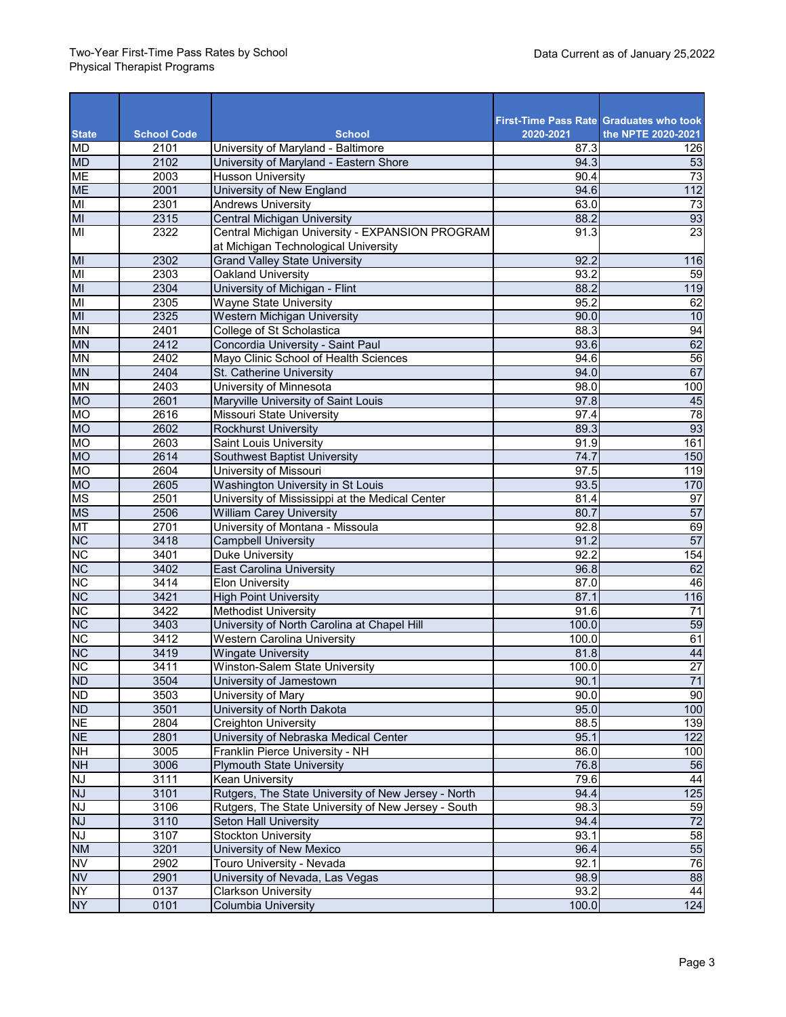| <b>State</b>            | <b>School Code</b> | <b>School</b>                                       | 2020-2021 | <b>First-Time Pass Rate Graduates who took</b><br>the NPTE 2020-2021 |
|-------------------------|--------------------|-----------------------------------------------------|-----------|----------------------------------------------------------------------|
| <b>MD</b>               | 2101               | University of Maryland - Baltimore                  | 87.3      | 126                                                                  |
| <b>MD</b>               | 2102               | University of Maryland - Eastern Shore              | 94.3      | 53                                                                   |
| <b>ME</b>               | 2003               | <b>Husson University</b>                            | 90.4      | 73                                                                   |
| <b>ME</b>               | 2001               | University of New England                           | 94.6      | 112                                                                  |
| MI                      | 2301               | <b>Andrews University</b>                           | 63.0      | 73                                                                   |
| M                       | 2315               | <b>Central Michigan University</b>                  | 88.2      | 93                                                                   |
| $\overline{\mathsf{M}}$ | 2322               | Central Michigan University - EXPANSION PROGRAM     | 91.3      | 23                                                                   |
|                         |                    | at Michigan Technological University                |           |                                                                      |
| M                       | 2302               | <b>Grand Valley State University</b>                | 92.2      | 116                                                                  |
| MI                      | 2303               | Oakland University                                  | 93.2      | 59                                                                   |
| MI                      | 2304               | University of Michigan - Flint                      | 88.2      | 119                                                                  |
| MI                      | 2305               | Wayne State University                              | 95.2      | 62                                                                   |
| MI                      | 2325               | <b>Western Michigan University</b>                  | 90.0      | 10                                                                   |
| <b>MN</b>               | 2401               | College of St Scholastica                           | 88.3      | 94                                                                   |
| <b>MN</b>               | 2412               | Concordia University - Saint Paul                   | 93.6      | 62                                                                   |
| <b>MN</b>               | 2402               | Mayo Clinic School of Health Sciences               | 94.6      | 56                                                                   |
| <b>MN</b>               | 2404               | St. Catherine University                            | 94.0      | 67                                                                   |
| <b>MN</b>               | 2403               | University of Minnesota                             | 98.0      | 100                                                                  |
| <b>MO</b>               | 2601               | Maryville University of Saint Louis                 | 97.8      | 45                                                                   |
| <b>MO</b>               | 2616               | Missouri State University                           | 97.4      | $\overline{78}$                                                      |
| <b>OM</b>               | 2602               | <b>Rockhurst University</b>                         | 89.3      | 93                                                                   |
| <b>MO</b>               | 2603               | Saint Louis University                              | 91.9      | 161                                                                  |
| <b>MO</b>               | 2614               | Southwest Baptist University                        | 74.7      | 150                                                                  |
| <b>OM</b>               | 2604               | University of Missouri                              | 97.5      | 119                                                                  |
| <b>MO</b>               | 2605               | Washington University in St Louis                   | 93.5      | 170                                                                  |
| <b>MS</b>               | 2501               | University of Mississippi at the Medical Center     | 81.4      | 97                                                                   |
| <b>MS</b>               | 2506               | <b>William Carey University</b>                     | 80.7      | 57                                                                   |
| <b>MT</b>               | 2701               | University of Montana - Missoula                    | 92.8      | 69                                                                   |
| <b>NC</b>               | 3418               | <b>Campbell University</b>                          | 91.2      | 57                                                                   |
| <b>NC</b>               | 3401               | <b>Duke University</b>                              | 92.2      | 154                                                                  |
| <b>NC</b>               | 3402               | <b>East Carolina University</b>                     | 96.8      | 62                                                                   |
| <b>NC</b>               | 3414               | <b>Elon University</b>                              | 87.0      | 46                                                                   |
| <b>NC</b>               | 3421               | <b>High Point University</b>                        | 87.1      | 116                                                                  |
| <b>NC</b>               | 3422               | <b>Methodist University</b>                         | 91.6      | $\overline{71}$                                                      |
| <b>NC</b>               | 3403               | University of North Carolina at Chapel Hill         | 100.0     | 59                                                                   |
| <b>NC</b>               | 3412               | <b>Western Carolina University</b>                  | 100.0     | 61                                                                   |
| <b>NC</b>               | 3419               | <b>Wingate University</b>                           | 81.8      | 44                                                                   |
| <b>NC</b>               | 3411               | Winston-Salem State University                      | 100.0     | $\overline{27}$                                                      |
| <b>ND</b>               | 3504               | University of Jamestown                             | 90.1      | 71                                                                   |
| <b>ND</b>               | 3503               | University of Mary                                  | 90.0      | 90                                                                   |
| <b>ND</b>               | 3501               | University of North Dakota                          | 95.0      | 100                                                                  |
| <b>NE</b>               | 2804               | <b>Creighton University</b>                         | 88.5      | 139                                                                  |
| <b>NE</b>               | 2801               | University of Nebraska Medical Center               | 95.1      | 122                                                                  |
| NH                      | 3005               | Franklin Pierce University - NH                     | 86.0      | 100                                                                  |
| <b>NH</b>               | 3006               | <b>Plymouth State University</b>                    | 76.8      | 56                                                                   |
| <b>NJ</b>               | 3111               | Kean University                                     | 79.6      | 44                                                                   |
| <b>NJ</b>               | 3101               | Rutgers, The State University of New Jersey - North | 94.4      | 125                                                                  |
| <b>NJ</b>               | 3106               | Rutgers, The State University of New Jersey - South | 98.3      | 59                                                                   |
| <b>N</b>                | 3110               | Seton Hall University                               | 94.4      | 72                                                                   |
| <b>NJ</b>               | 3107               | <b>Stockton University</b>                          | 93.1      | 58                                                                   |
| <b>NM</b>               | 3201               | University of New Mexico                            | 96.4      | 55                                                                   |
| <b>NV</b>               | 2902               | Touro University - Nevada                           | 92.1      | 76                                                                   |
| <b>NV</b>               | 2901               | University of Nevada, Las Vegas                     | 98.9      | 88                                                                   |
| <b>NY</b>               | 0137               | <b>Clarkson University</b>                          | 93.2      | 44                                                                   |
| <b>NY</b>               | 0101               | <b>Columbia University</b>                          | 100.0     | 124                                                                  |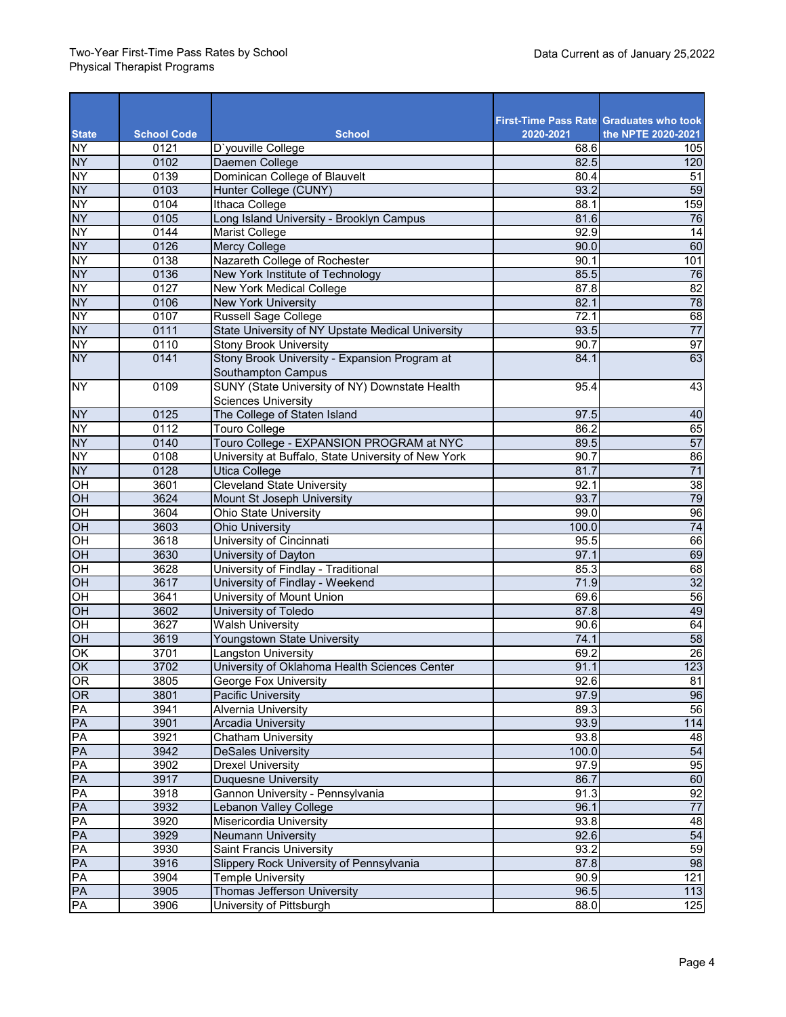| <b>State</b>             | <b>School Code</b> | <b>School</b>                                       | 2020-2021    | <b>First-Time Pass Rate Graduates who took</b><br>the NPTE 2020-2021 |
|--------------------------|--------------------|-----------------------------------------------------|--------------|----------------------------------------------------------------------|
| <b>NY</b>                | 0121               | D'youville College                                  | 68.6         | 105                                                                  |
| <b>NY</b>                | 0102               | Daemen College                                      | 82.5         | 120                                                                  |
| <b>NY</b>                | 0139               | Dominican College of Blauvelt                       | 80.4         | $\overline{51}$                                                      |
| <b>NY</b>                | 0103               | Hunter College (CUNY)                               | 93.2         | 59                                                                   |
| <b>NY</b>                | 0104               | Ithaca College                                      | 88.1         | 159                                                                  |
| <b>NY</b>                | 0105               | Long Island University - Brooklyn Campus            | 81.6         | 76                                                                   |
| <b>NY</b>                | 0144               | Marist College                                      | 92.9         | 14                                                                   |
| <b>NY</b>                | 0126               | <b>Mercy College</b>                                | 90.0         | 60                                                                   |
| <b>NY</b>                | 0138               | Nazareth College of Rochester                       | 90.1         | 101                                                                  |
| <b>NY</b>                | 0136               | New York Institute of Technology                    | 85.5         | 76                                                                   |
| <b>NY</b>                | 0127               | New York Medical College                            | 87.8         | 82                                                                   |
| <b>NY</b>                | 0106               | <b>New York University</b>                          | 82.1         | 78                                                                   |
| <b>NY</b>                | 0107               | <b>Russell Sage College</b>                         | 72.1         | 68                                                                   |
| <b>NY</b>                | 0111               | State University of NY Upstate Medical University   | 93.5         | $\overline{77}$                                                      |
| NY                       | 0110               | <b>Stony Brook University</b>                       | 90.7         | 97                                                                   |
| <b>NY</b>                | 0141               | Stony Brook University - Expansion Program at       | 84.1         | 63                                                                   |
|                          |                    | Southampton Campus                                  |              |                                                                      |
| <b>NY</b>                | 0109               | SUNY (State University of NY) Downstate Health      | 95.4         | 43                                                                   |
|                          |                    | <b>Sciences University</b>                          |              |                                                                      |
| <b>NY</b>                | 0125               | The College of Staten Island                        | 97.5         | 40                                                                   |
| <u>NΥ</u>                | 0112               | Touro College                                       | 86.2         | 65                                                                   |
| <b>NY</b>                | 0140               | Touro College - EXPANSION PROGRAM at NYC            | 89.5         | 57                                                                   |
| <b>NY</b>                | 0108               | University at Buffalo, State University of New York | 90.7         | 86<br>$\overline{71}$                                                |
| <b>NY</b>                | 0128               | Utica College                                       | 81.7         |                                                                      |
| HO<br>OH                 | 3601<br>3624       | <b>Cleveland State University</b>                   | 92.1<br>93.7 | 38<br>79                                                             |
|                          | 3604               | Mount St Joseph University<br>Ohio State University | 99.0         | 96                                                                   |
| OH<br>OH                 | 3603               | <b>Ohio University</b>                              | 100.0        | 74                                                                   |
| $\overline{CH}$          | 3618               | University of Cincinnati                            | 95.5         | 66                                                                   |
| OH                       | 3630               | University of Dayton                                | 97.1         | 69                                                                   |
| OH                       | 3628               | University of Findlay - Traditional                 | 85.3         | 68                                                                   |
| OH                       | 3617               | University of Findlay - Weekend                     | 71.9         | $\overline{32}$                                                      |
| $\overline{CH}$          | 3641               | University of Mount Union                           | 69.6         | 56                                                                   |
| OH                       | 3602               | University of Toledo                                | 87.8         | 49                                                                   |
| OH                       | 3627               | <b>Walsh University</b>                             | 90.6         | 64                                                                   |
| HO                       | 3619               | Youngstown State University                         | 74.1         | 58                                                                   |
| OK                       | 3701               | Langston University                                 | 69.2         | 26                                                                   |
| $\overline{\mathsf{OK}}$ | 3702               | University of Oklahoma Health Sciences Center       | 91.1         | 123                                                                  |
| OR                       | 3805               | <b>George Fox University</b>                        | 92.6         | 81                                                                   |
| OR                       | 3801               | Pacific University                                  | 97.9         | 96                                                                   |
| PA                       | 3941               | Alvernia University                                 | 89.3         | 56                                                                   |
| PA                       | 3901               | <b>Arcadia University</b>                           | 93.9         | 114                                                                  |
| PA                       | 3921               | <b>Chatham University</b>                           | 93.8         | $\overline{48}$                                                      |
| PA                       | 3942               | <b>DeSales University</b>                           | 100.0        | 54                                                                   |
| PA                       | 3902               | <b>Drexel University</b>                            | 97.9         | 95                                                                   |
| PA                       | 3917               | <b>Duquesne University</b>                          | 86.7         | 60                                                                   |
| PA                       | 3918               | Gannon University - Pennsylvania                    | 91.3         | 92                                                                   |
| PA                       | 3932               | <b>Lebanon Valley College</b>                       | 96.1         | $\overline{77}$                                                      |
| PA                       | 3920               | Misericordia University                             | 93.8         | 48                                                                   |
| PA                       | 3929               | <b>Neumann University</b>                           | 92.6         | 54                                                                   |
| PA                       | 3930               | Saint Francis University                            | 93.2         | 59                                                                   |
| PA                       | 3916               | Slippery Rock University of Pennsylvania            | 87.8         | 98                                                                   |
| PA                       | 3904               | <b>Temple University</b>                            | 90.9         | 121                                                                  |
| PA                       | 3905               | Thomas Jefferson University                         | 96.5         | 113                                                                  |
| PA                       | 3906               | University of Pittsburgh                            | 88.0         | 125                                                                  |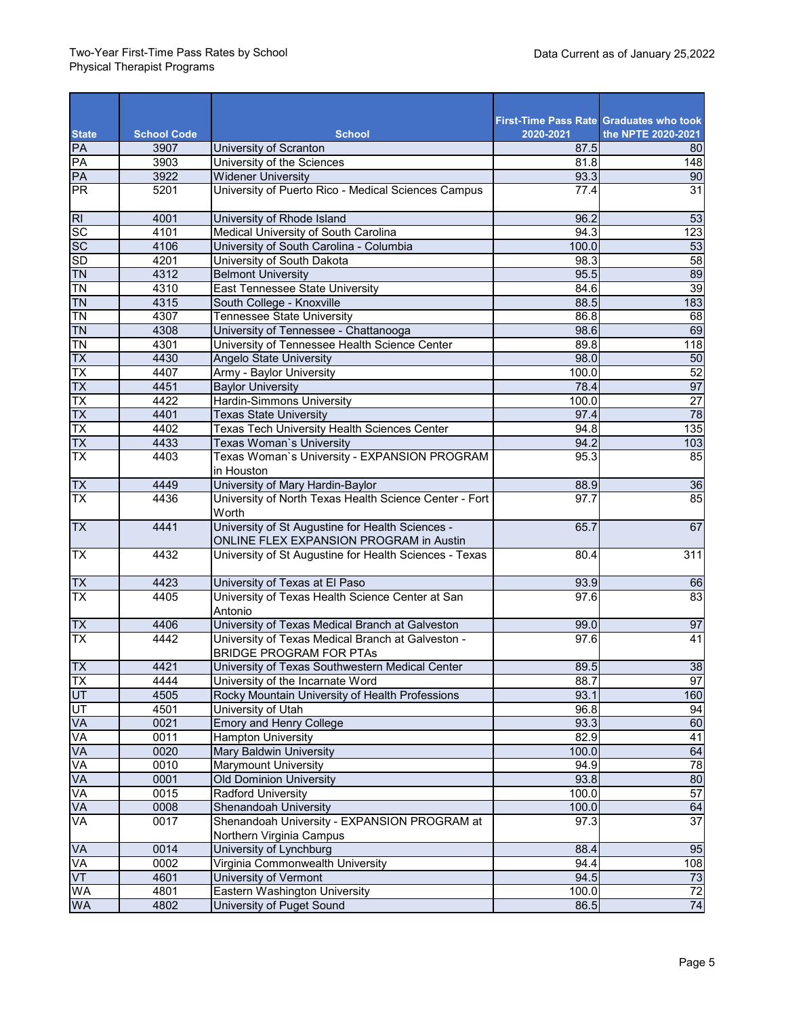| <b>State</b>    | <b>School Code</b> | <b>School</b>                                                                               | First-Time Pass Rate Graduates who took<br>2020-2021 | the NPTE 2020-2021 |
|-----------------|--------------------|---------------------------------------------------------------------------------------------|------------------------------------------------------|--------------------|
| PA              | 3907               | University of Scranton                                                                      | 87.5                                                 | 80                 |
| PA              | 3903               | University of the Sciences                                                                  | 81.8                                                 | 148                |
| PA              | 3922               | <b>Widener University</b>                                                                   | 93.3                                                 | 90                 |
| <b>PR</b>       | 5201               | University of Puerto Rico - Medical Sciences Campus                                         | 77.4                                                 | 31                 |
| $\overline{R}$  | 4001               | University of Rhode Island                                                                  | 96.2                                                 | 53                 |
| <b>SC</b>       | 4101               | Medical University of South Carolina                                                        | 94.3                                                 | $\overline{123}$   |
| <b>SC</b>       | 4106               | University of South Carolina - Columbia                                                     | 100.0                                                | 53                 |
| <b>SD</b>       | 4201               | University of South Dakota                                                                  | 98.3                                                 | $\overline{58}$    |
| <b>TN</b>       | 4312               | <b>Belmont University</b>                                                                   | 95.5                                                 | 89                 |
| <b>TN</b>       | 4310               | East Tennessee State University                                                             | 84.6                                                 | 39                 |
| <b>TN</b>       | 4315               | South College - Knoxville                                                                   | 88.5                                                 | 183                |
| <b>TN</b>       | 4307               | Tennessee State University                                                                  | 86.8                                                 | 68                 |
| <b>TN</b>       | 4308               | University of Tennessee - Chattanooga                                                       | 98.6                                                 | 69                 |
| T <sub>N</sub>  | 4301               | University of Tennessee Health Science Center                                               | 89.8                                                 | 118                |
| TX              | 4430               | Angelo State University                                                                     | 98.0                                                 | 50                 |
| TX              | 4407               | Army - Baylor University                                                                    | 100.0                                                | 52                 |
| <b>TX</b>       | 4451               | <b>Baylor University</b>                                                                    | 78.4                                                 | 97                 |
| $\overline{TX}$ | 4422               | <b>Hardin-Simmons University</b>                                                            | 100.0                                                | $\overline{27}$    |
| <b>TX</b>       | 4401               | <b>Texas State University</b>                                                               | 97.4                                                 | 78                 |
| TX              | 4402               | Texas Tech University Health Sciences Center                                                | 94.8                                                 | 135                |
| TX              | 4433               | Texas Woman's University                                                                    | 94.2                                                 | 103                |
| TX              | 4403               | Texas Woman's University - EXPANSION PROGRAM<br>in Houston                                  | 95.3                                                 | 85                 |
| <b>TX</b>       | 4449               | University of Mary Hardin-Baylor                                                            | 88.9                                                 | 36                 |
| <b>TX</b>       | 4436               | University of North Texas Health Science Center - Fort<br>Worth                             | 97.7                                                 | 85                 |
| <b>TX</b>       | 4441               | University of St Augustine for Health Sciences -<br>ONLINE FLEX EXPANSION PROGRAM in Austin | 65.7                                                 | 67                 |
| TX              | 4432               | University of St Augustine for Health Sciences - Texas                                      | 80.4                                                 | 311                |
| <b>TX</b>       | 4423               | University of Texas at El Paso                                                              | 93.9                                                 | 66                 |
| <b>TX</b>       | 4405               | University of Texas Health Science Center at San<br>Antonio                                 | 97.6                                                 | 83                 |
| <b>TX</b>       | 4406               | University of Texas Medical Branch at Galveston                                             | 99.0                                                 | 97                 |
| TX              | 4442               | University of Texas Medical Branch at Galveston -<br>BRIDGE PROGRAM FOR PTAs                | 97.6                                                 | 41                 |
| Tx              | 4421               | University of Texas Southwestern Medical Center                                             | 89.5                                                 | 38                 |
| <b>TX</b>       | 4444               | University of the Incarnate Word                                                            | 88.7                                                 | 97                 |
| UT              | 4505               | Rocky Mountain University of Health Professions                                             | 93.1                                                 | 160                |
| UT              | 4501               | University of Utah                                                                          | 96.8                                                 | 94                 |
| <b>VA</b>       | 0021               | <b>Emory and Henry College</b>                                                              | 93.3                                                 | 60                 |
| <b>VA</b>       | 0011               | Hampton University                                                                          | 82.9                                                 | 41                 |
| VA              | 0020               | Mary Baldwin University                                                                     | 100.0                                                | 64                 |
| <b>VA</b>       | 0010               | Marymount University                                                                        | 94.9                                                 | 78                 |
| VA              | 0001               | Old Dominion University                                                                     | 93.8                                                 | 80                 |
| VA              | 0015               | Radford University                                                                          | 100.0                                                | 57                 |
| VA              | 0008               | Shenandoah University                                                                       | 100.0                                                | 64                 |
| VA              | 0017               | Shenandoah University - EXPANSION PROGRAM at<br>Northern Virginia Campus                    | 97.3                                                 | $\overline{37}$    |
| VA              | 0014               | University of Lynchburg                                                                     | 88.4                                                 | 95                 |
| VA              | 0002               | Virginia Commonwealth University                                                            | 94.4                                                 | 108                |
| VT              | 4601               | University of Vermont                                                                       | 94.5                                                 | 73                 |
| WA              | 4801               | Eastern Washington University                                                               | 100.0                                                | $\overline{72}$    |
| WA              | 4802               | University of Puget Sound                                                                   | 86.5                                                 | 74                 |